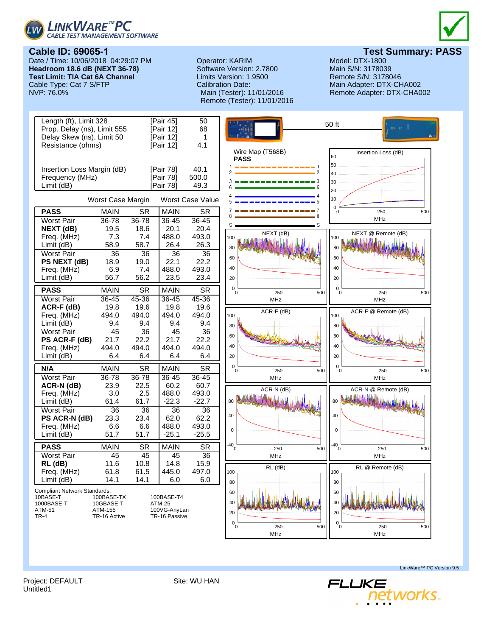



**Cable ID: 69065-1**

Date / Time: 10/06/2018 04:29:07 PM **Headroom 18.6 dB (NEXT 36-78) Test Limit: TIA Cat 6A Channel** Cable Type: Cat 7 S/FTP<br>NVP: 76.0%

## Operator: KARIM Model: DTX-1800<br>
Software Version: 2.7800 Main S/N: 3178039 Software Version: 2.7800 Limits Version: 1.9500 Remote S/N: 3178046 Calibration Date: Main Adapter: DTX-CHA002 Remote (Tester): 11/01/2016

**Test Summary: PASS**<br>Model: DTX-1800

Remote Adapter: DTX-CHA002



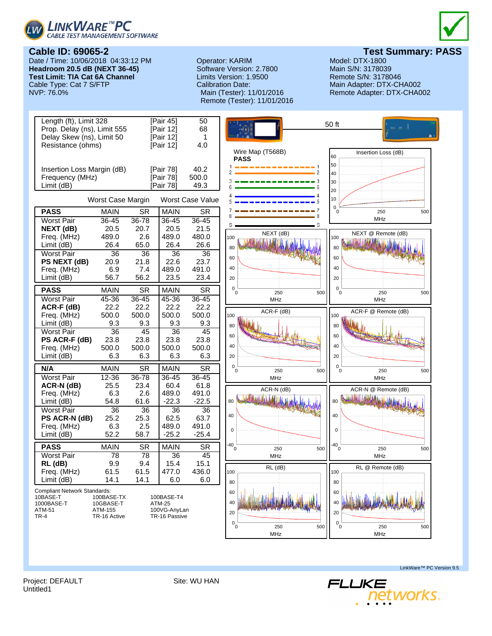



Date / Time: 10/06/2018 04:33:12 PM **Headroom 20.5 dB (NEXT 36-45) Test Limit: TIA Cat 6A Channel** Cable Type: Cat 7 S/FTP<br>NVP: 76.0%

## Operator: KARIM Model: DTX-1800<br>
Software Version: 2.7800 Main S/N: 3178039 Software Version: 2.7800 Limits Version: 1.9500 Remote S/N: 3178046 Calibration Date: Main Adapter: DTX-CHA002 Remote (Tester): 11/01/2016



**Test Summary: PASS**<br>Model: DTX-1800

Remote Adapter: DTX-CHA002



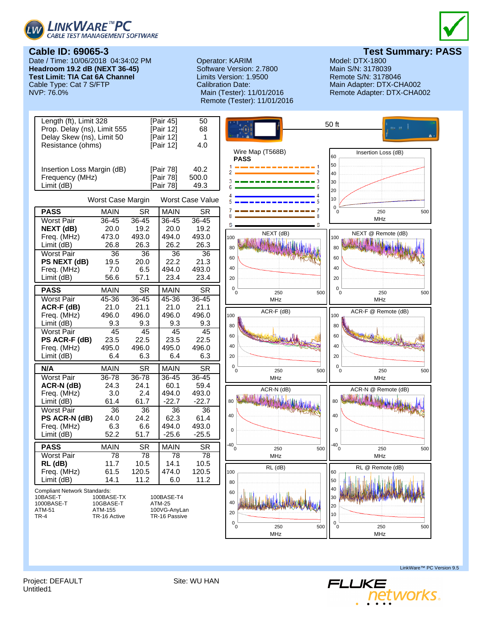

**Cable ID: 69065-3**

Cable Type: Cat 7 S/FTP<br>NVP: 76.0%



Software Version: 2.7800 Date / Time: 10/06/2018 04:34:02 PM **Headroom 19.2 dB (NEXT 36-45) Test Limit: TIA Cat 6A Channel**

**Test Summary: PASS**<br>Model: DTX-1800 Operator: KARIM Model: DTX-1800<br>
Software Version: 2.7800 Main S/N: 3178039 Limits Version: 1.9500 Remote S/N: 3178046 Calibration Date: Main Adapter: DTX-CHA002 Remote Adapter: DTX-CHA002



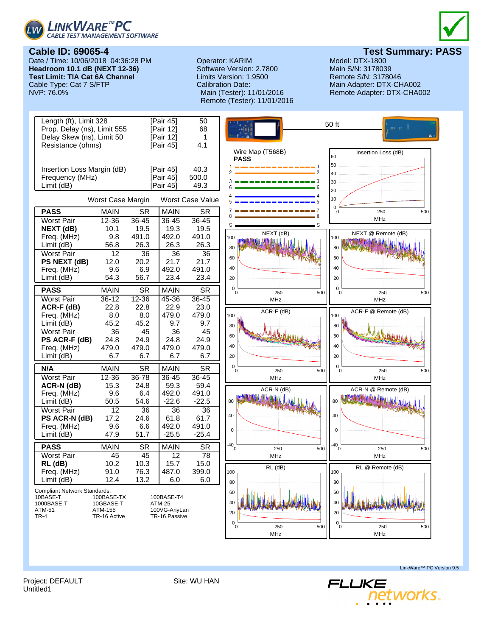



**Cable ID: 69065-4** Date / Time: 10/06/2018 04:36:28 PM **Headroom 10.1 dB (NEXT 12-36) Test Limit: TIA Cat 6A Channel** Cable Type: Cat 7 S/FTP<br>NVP: 76.0%

## Operator: KARIM Model: DTX-1800<br>
Software Version: 2.7800 Main S/N: 3178039 Software Version: 2.7800 Limits Version: 1.9500 Remote S/N: 3178046 Calibration Date: Main Adapter: DTX-CHA002 Remote (Tester): 11/01/2016



**Test Summary: PASS**<br>Model: DTX-1800

Remote Adapter: DTX-CHA002



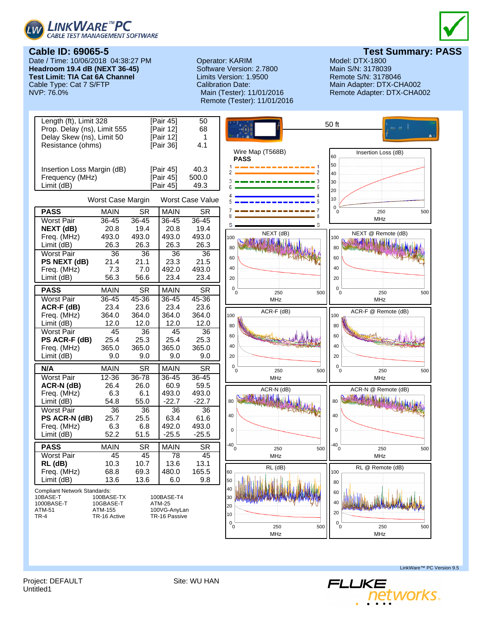



Date / Time: 10/06/2018 04:38:27 PM **Headroom 19.4 dB (NEXT 36-45) Test Limit: TIA Cat 6A Channel** Cable Type: Cat 7 S/FTP<br>NVP: 76.0%

## Operator: KARIM Model: DTX-1800<br>
Software Version: 2.7800 Main S/N: 3178039 Software Version: 2.7800 Limits Version: 1.9500 Remote S/N: 3178046 Calibration Date: Main Adapter: DTX-CHA002 Remote (Tester): 11/01/2016



**Test Summary: PASS**<br>Model: DTX-1800

Remote Adapter: DTX-CHA002